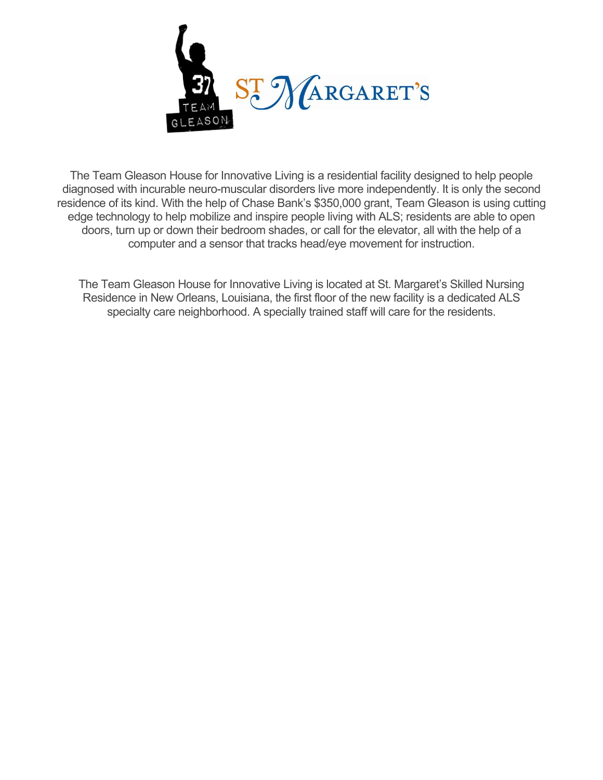

The Team Gleason House for Innovative Living is a residential facility designed to help people diagnosed with incurable neuro-muscular disorders live more independently. It is only the second residence of its kind. With the help of Chase Bank's \$350,000 grant, Team Gleason is using cutting edge technology to help mobilize and inspire people living with ALS; residents are able to open doors, turn up or down their bedroom shades, or call for the elevator, all with the help of a computer and a sensor that tracks head/eye movement for instruction.

The Team Gleason House for Innovative Living is located at St. Margaret's Skilled Nursing Residence in New Orleans, Louisiana, the first floor of the new facility is a dedicated ALS specialty care neighborhood. A specially trained staff will care for the residents.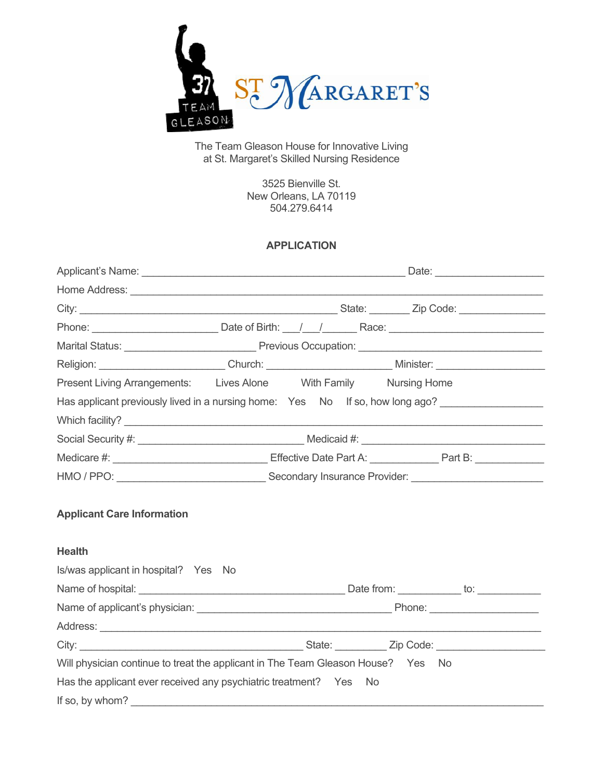

The Team Gleason House for Innovative Living at St. Margaret's Skilled Nursing Residence

> 3525 Bienville St. New Orleans, LA 70119 504.279.6414

# **APPLICATION**

| Religion: _________________________Church: ____________________________Minister: ________________________     |  |  |  |
|---------------------------------------------------------------------------------------------------------------|--|--|--|
| Present Living Arrangements: Lives Alone With Family Nursing Home                                             |  |  |  |
| Has applicant previously lived in a nursing home: Yes No If so, how long ago? _____________________           |  |  |  |
|                                                                                                               |  |  |  |
|                                                                                                               |  |  |  |
| Medicare #: __________________________________Effective Date Part A: _______________Part B: _________________ |  |  |  |
|                                                                                                               |  |  |  |
| <b>Applicant Care Information</b>                                                                             |  |  |  |
| <b>Health</b>                                                                                                 |  |  |  |
| Is/was applicant in hospital? Yes No                                                                          |  |  |  |
|                                                                                                               |  |  |  |
|                                                                                                               |  |  |  |
|                                                                                                               |  |  |  |
|                                                                                                               |  |  |  |
| Will physician continue to treat the applicant in The Team Gleason House? Yes No                              |  |  |  |
| Has the applicant ever received any psychiatric treatment? Yes No                                             |  |  |  |
|                                                                                                               |  |  |  |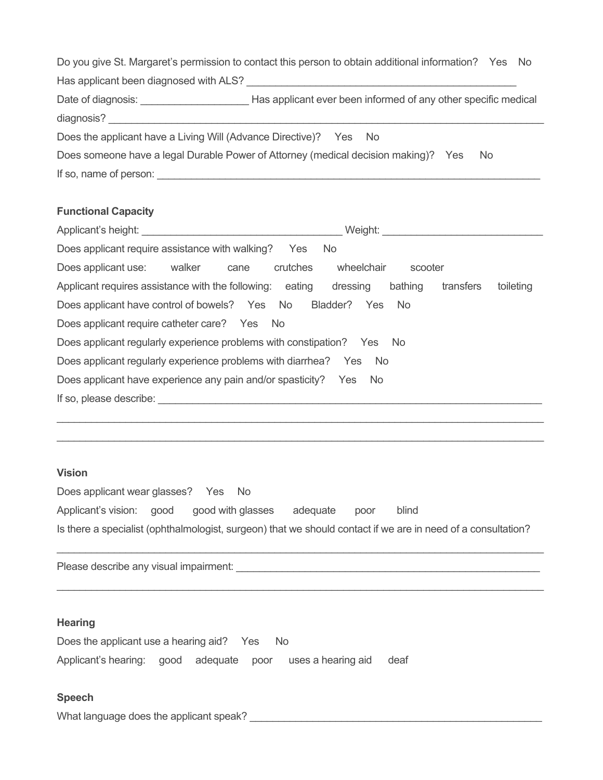|                                                                                           | Do you give St. Margaret's permission to contact this person to obtain additional information? Yes No |  |  |  |
|-------------------------------------------------------------------------------------------|-------------------------------------------------------------------------------------------------------|--|--|--|
| Has applicant been diagnosed with ALS?                                                    |                                                                                                       |  |  |  |
| Date of diagnosis:                                                                        | Has applicant ever been informed of any other specific medical                                        |  |  |  |
| diagnosis?                                                                                |                                                                                                       |  |  |  |
| Does the applicant have a Living Will (Advance Directive)? Yes No                         |                                                                                                       |  |  |  |
| Does someone have a legal Durable Power of Attorney (medical decision making)? Yes<br>No. |                                                                                                       |  |  |  |
| If so, name of person:                                                                    |                                                                                                       |  |  |  |

# **Functional Capacity**

| Applicant's height: Applicant is not all the set of the set of the set of the set of the set of the set of the | Weight:                                       |  |  |  |
|----------------------------------------------------------------------------------------------------------------|-----------------------------------------------|--|--|--|
| Does applicant require assistance with walking? Yes                                                            | No.                                           |  |  |  |
| crutches<br>Does applicant use:<br>walker<br>cane                                                              | wheelchair<br>scooter                         |  |  |  |
| Applicant requires assistance with the following:<br>eating                                                    | dressing<br>bathing<br>toileting<br>transfers |  |  |  |
| Does applicant have control of bowels? Yes No                                                                  | Bladder?<br>Yes<br>No.                        |  |  |  |
| Does applicant require catheter care? Yes No                                                                   |                                               |  |  |  |
| Does applicant regularly experience problems with constipation? Yes No                                         |                                               |  |  |  |
| Does applicant regularly experience problems with diarrhea? Yes No                                             |                                               |  |  |  |
| Does applicant have experience any pain and/or spasticity? Yes<br>No.                                          |                                               |  |  |  |
| If so, please describe: If so, please describe:                                                                |                                               |  |  |  |
|                                                                                                                |                                               |  |  |  |

#### **Vision**

Does applicant wear glasses? Yes No Applicant's vision: good good with glasses adequate poor blind Is there a specialist (ophthalmologist, surgeon) that we should contact if we are in need of a consultation?

\_\_\_\_\_\_\_\_\_\_\_\_\_\_\_\_\_\_\_\_\_\_\_\_\_\_\_\_\_\_\_\_\_\_\_\_\_\_\_\_\_\_\_\_\_\_\_\_\_\_\_\_\_\_\_\_\_\_\_\_\_\_\_\_\_\_\_\_\_\_\_\_\_\_\_\_\_\_\_\_\_\_\_\_\_

\_\_\_\_\_\_\_\_\_\_\_\_\_\_\_\_\_\_\_\_\_\_\_\_\_\_\_\_\_\_\_\_\_\_\_\_\_\_\_\_\_\_\_\_\_\_\_\_\_\_\_\_\_\_\_\_\_\_\_\_\_\_\_\_\_\_\_\_\_\_\_\_\_\_\_\_\_\_\_\_\_\_\_\_\_

\_\_\_\_\_\_\_\_\_\_\_\_\_\_\_\_\_\_\_\_\_\_\_\_\_\_\_\_\_\_\_\_\_\_\_\_\_\_\_\_\_\_\_\_\_\_\_\_\_\_\_\_\_\_\_\_\_\_\_\_\_\_\_\_\_\_\_\_\_\_\_\_\_\_\_\_\_\_\_\_\_\_\_\_\_

Please describe any visual impairment: **We are all the contract of the contract of the contract of the contract of the contract of the contract of the contract of the contract of the contract of the contract of the contrac** 

### **Hearing**

Does the applicant use a hearing aid? Yes No Applicant's hearing: good adequate poor uses a hearing aid deaf

### **Speech**

What language does the applicant speak?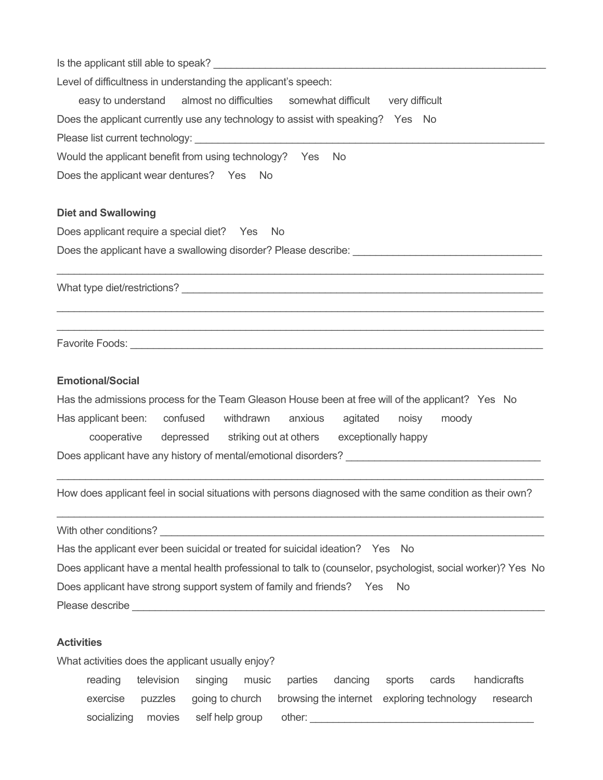| Level of difficultness in understanding the applicant's speech:                                                                                                |  |  |  |  |                                                               |
|----------------------------------------------------------------------------------------------------------------------------------------------------------------|--|--|--|--|---------------------------------------------------------------|
| easy to understand almost no difficulties somewhat difficult very difficult<br>Does the applicant currently use any technology to assist with speaking? Yes No |  |  |  |  |                                                               |
|                                                                                                                                                                |  |  |  |  | Would the applicant benefit from using technology? Yes<br>No. |
|                                                                                                                                                                |  |  |  |  | Does the applicant wear dentures? Yes No                      |
| <b>Diet and Swallowing</b>                                                                                                                                     |  |  |  |  |                                                               |
| Does applicant require a special diet? Yes No                                                                                                                  |  |  |  |  |                                                               |
|                                                                                                                                                                |  |  |  |  |                                                               |
|                                                                                                                                                                |  |  |  |  |                                                               |
|                                                                                                                                                                |  |  |  |  |                                                               |
| <b>Emotional/Social</b>                                                                                                                                        |  |  |  |  |                                                               |
| Has the admissions process for the Team Gleason House been at free will of the applicant? Yes No                                                               |  |  |  |  |                                                               |
| Has applicant been: confused withdrawn<br>anxious<br>agitated<br>noisy<br>moody                                                                                |  |  |  |  |                                                               |
| cooperative depressed striking out at others exceptionally happy                                                                                               |  |  |  |  |                                                               |
|                                                                                                                                                                |  |  |  |  |                                                               |
| How does applicant feel in social situations with persons diagnosed with the same condition as their own?                                                      |  |  |  |  |                                                               |
|                                                                                                                                                                |  |  |  |  |                                                               |
| Has the applicant ever been suicidal or treated for suicidal ideation? Yes No                                                                                  |  |  |  |  |                                                               |
| Does applicant have a mental health professional to talk to (counselor, psychologist, social worker)? Yes No                                                   |  |  |  |  |                                                               |
| Does applicant have strong support system of family and friends? Yes No                                                                                        |  |  |  |  |                                                               |
|                                                                                                                                                                |  |  |  |  |                                                               |
| <b>Activities</b>                                                                                                                                              |  |  |  |  |                                                               |

What activities does the applicant usually enjoy? reading television singing music parties dancing sports cards handicrafts exercise puzzles going to church browsing the internet exploring technology research socializing movies self help group other: \_\_\_\_\_\_\_\_\_\_\_\_\_\_\_\_\_\_\_\_\_\_\_\_\_\_\_\_\_\_\_\_\_\_\_\_\_\_\_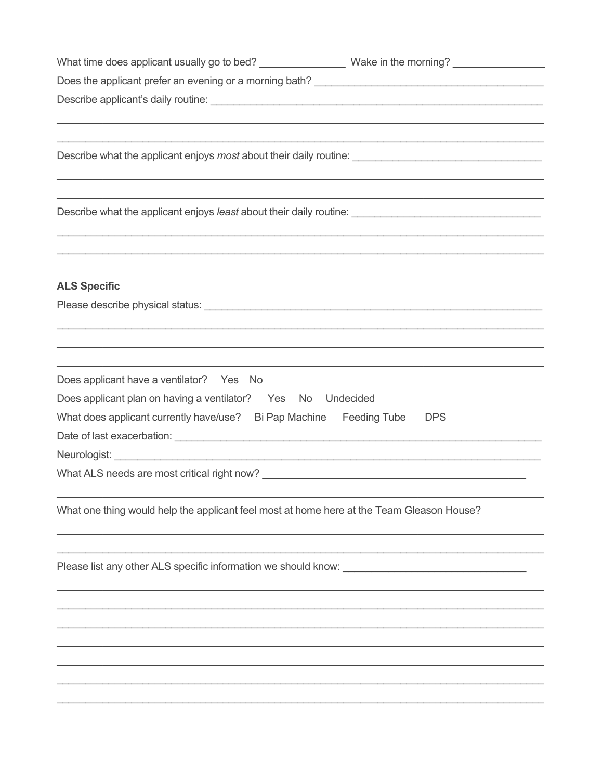| What time does applicant usually go to bed? ___________________ Wake in the morning? ____________________                                                                                                                            |                                                                                                                       |
|--------------------------------------------------------------------------------------------------------------------------------------------------------------------------------------------------------------------------------------|-----------------------------------------------------------------------------------------------------------------------|
|                                                                                                                                                                                                                                      |                                                                                                                       |
|                                                                                                                                                                                                                                      |                                                                                                                       |
|                                                                                                                                                                                                                                      |                                                                                                                       |
|                                                                                                                                                                                                                                      | <u> 1989 - Johann John Stoff, deutscher Stoffen und der Stoffen und der Stoffen und der Stoffen und der Stoffen u</u> |
|                                                                                                                                                                                                                                      |                                                                                                                       |
|                                                                                                                                                                                                                                      |                                                                                                                       |
|                                                                                                                                                                                                                                      |                                                                                                                       |
|                                                                                                                                                                                                                                      |                                                                                                                       |
|                                                                                                                                                                                                                                      |                                                                                                                       |
|                                                                                                                                                                                                                                      |                                                                                                                       |
|                                                                                                                                                                                                                                      |                                                                                                                       |
| <b>ALS Specific</b>                                                                                                                                                                                                                  |                                                                                                                       |
|                                                                                                                                                                                                                                      |                                                                                                                       |
|                                                                                                                                                                                                                                      |                                                                                                                       |
| ,我们也不能在这里的人,我们也不能在这里的人,我们也不能在这里的人,我们也不能在这里的人,我们也不能在这里的人,我们也不能在这里的人,我们也不能在这里的人,我们也                                                                                                                                                    |                                                                                                                       |
|                                                                                                                                                                                                                                      |                                                                                                                       |
| Does applicant have a ventilator? Yes No                                                                                                                                                                                             |                                                                                                                       |
| Does applicant plan on having a ventilator? Yes No Undecided                                                                                                                                                                         |                                                                                                                       |
| What does applicant currently have/use? Bi Pap Machine Feeding Tube DPS                                                                                                                                                              |                                                                                                                       |
|                                                                                                                                                                                                                                      |                                                                                                                       |
|                                                                                                                                                                                                                                      |                                                                                                                       |
|                                                                                                                                                                                                                                      |                                                                                                                       |
|                                                                                                                                                                                                                                      |                                                                                                                       |
| What one thing would help the applicant feel most at home here at the Team Gleason House?                                                                                                                                            |                                                                                                                       |
|                                                                                                                                                                                                                                      |                                                                                                                       |
|                                                                                                                                                                                                                                      |                                                                                                                       |
| Please list any other ALS specific information we should know: <b>with an article of the state of the state of the state of the state of the state of the state of the state of the state of the state of the state of the state</b> |                                                                                                                       |
|                                                                                                                                                                                                                                      |                                                                                                                       |
|                                                                                                                                                                                                                                      |                                                                                                                       |
|                                                                                                                                                                                                                                      |                                                                                                                       |
|                                                                                                                                                                                                                                      |                                                                                                                       |
|                                                                                                                                                                                                                                      |                                                                                                                       |
|                                                                                                                                                                                                                                      |                                                                                                                       |
|                                                                                                                                                                                                                                      |                                                                                                                       |
|                                                                                                                                                                                                                                      |                                                                                                                       |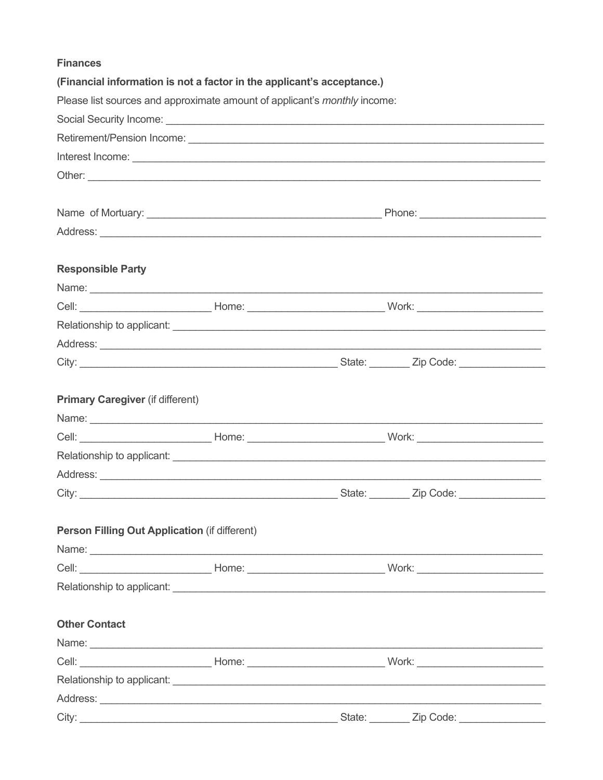|  | <b>Finances</b> |  |
|--|-----------------|--|
|  |                 |  |

|                                                      | (Financial information is not a factor in the applicant's acceptance.)                                                                                                                                                        |  |  |
|------------------------------------------------------|-------------------------------------------------------------------------------------------------------------------------------------------------------------------------------------------------------------------------------|--|--|
|                                                      | Please list sources and approximate amount of applicant's <i>monthly</i> income:                                                                                                                                              |  |  |
|                                                      |                                                                                                                                                                                                                               |  |  |
|                                                      |                                                                                                                                                                                                                               |  |  |
|                                                      |                                                                                                                                                                                                                               |  |  |
|                                                      |                                                                                                                                                                                                                               |  |  |
|                                                      |                                                                                                                                                                                                                               |  |  |
|                                                      |                                                                                                                                                                                                                               |  |  |
|                                                      |                                                                                                                                                                                                                               |  |  |
|                                                      |                                                                                                                                                                                                                               |  |  |
| <b>Responsible Party</b>                             |                                                                                                                                                                                                                               |  |  |
|                                                      |                                                                                                                                                                                                                               |  |  |
|                                                      | Cell: __________________________________Home: __________________________________Work: ________________________                                                                                                                |  |  |
|                                                      |                                                                                                                                                                                                                               |  |  |
|                                                      |                                                                                                                                                                                                                               |  |  |
|                                                      |                                                                                                                                                                                                                               |  |  |
|                                                      |                                                                                                                                                                                                                               |  |  |
| <b>Primary Caregiver (if different)</b>              |                                                                                                                                                                                                                               |  |  |
|                                                      |                                                                                                                                                                                                                               |  |  |
|                                                      | Cell: _________________________________Home: ___________________________________Work: ________________________                                                                                                                |  |  |
|                                                      |                                                                                                                                                                                                                               |  |  |
|                                                      |                                                                                                                                                                                                                               |  |  |
|                                                      |                                                                                                                                                                                                                               |  |  |
|                                                      |                                                                                                                                                                                                                               |  |  |
| <b>Person Filling Out Application (if different)</b> |                                                                                                                                                                                                                               |  |  |
|                                                      |                                                                                                                                                                                                                               |  |  |
|                                                      | Cell: __________________________________Home: __________________________________Work: ________________________                                                                                                                |  |  |
|                                                      |                                                                                                                                                                                                                               |  |  |
|                                                      |                                                                                                                                                                                                                               |  |  |
| <b>Other Contact</b>                                 |                                                                                                                                                                                                                               |  |  |
|                                                      | Name: Name: Name: Name: Name: Name: Name: Name: Name: Name: Name: Name: Name: Name: Name: Name: Name: Name: Name: Name: Name: Name: Name: Name: Name: Name: Name: Name: Name: Name: Name: Name: Name: Name: Name: Name: Name: |  |  |
|                                                      |                                                                                                                                                                                                                               |  |  |
|                                                      |                                                                                                                                                                                                                               |  |  |
|                                                      |                                                                                                                                                                                                                               |  |  |
|                                                      |                                                                                                                                                                                                                               |  |  |